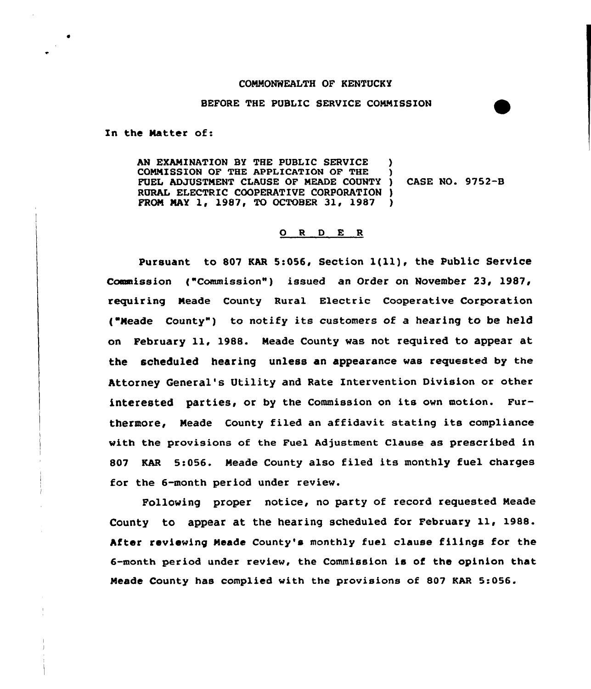## COMMONWEALTH OF KENTUCKY

## BEFORE THE PUBLIC SERVICE COMMISSION

In the Natter of:

AN EXAMINATION BY THE PUBLIC SERVICE COMMISSION OF THE APPLICATION OF THE FUEL ADJUSTNENT CLAUSE OF NEADE COUNTY ) RURAL ELECTRIC COOPERATIVE CORPORATION ) PRON NAY 1, 1987, TO OCTOBER 31, 1987 ) CASE NO. 9752-B

## 0 <sup>R</sup> <sup>D</sup> E <sup>R</sup>

Pursuant to 807 KAR 5:056, Section 1(11), the Public Service Commission ("Commission") issued an Order on November 23, 1987, requiring Meade County Rural Electric Cooperative Corporation ("Meade County") to notify its customers of a hearing to be held on February ll, 1988. Neade County was not required to appear at the scheduled hearing unless an appearance was requested by the Attorney General's Utility and Rate Intervention Division or other interested parties, or by the Commission on its own motion. Furthermore, Meade County filed an affidavit stating its compliance with the provisions of the Fuel Adjustment Clause as prescribed in <sup>807</sup> KAR 5:056. Neade County also filed its monthly fuel charges for the 6-month period under review.

Following proper notice, no party of record requested Neade County to appear at the hearing scheduled for February 11, 1988. After reviewing Meade County's monthly fuel clause filings for the 6-month period under review, the Commission is of the opinion that Neade County has complied with the provisions of 807 KAR 5:056.